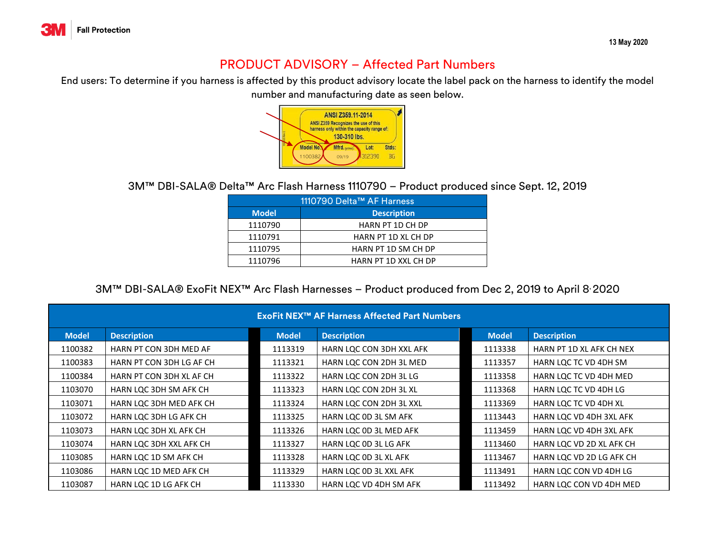

## PRODUCT ADVISORY – Affected Part Numbers

End users: To determine if you harness is affected by this product advisory locate the label pack on the harness to identify the model

number and manufacturing date as seen below.



3M™ DBI-SALA® Delta™ Arc Flash Harness 1110790 – Product produced since Sept. 12, 2019

| 1110790 Delta™ AF Harness |                             |  |  |  |  |  |
|---------------------------|-----------------------------|--|--|--|--|--|
| <b>Model</b>              | <b>Description</b>          |  |  |  |  |  |
| 1110790                   | <b>HARN PT 1D CH DP</b>     |  |  |  |  |  |
| 1110791                   | HARN PT 1D XL CH DP         |  |  |  |  |  |
| 1110795                   | HARN PT 1D SM CH DP         |  |  |  |  |  |
| 1110796                   | <b>HARN PT 1D XXL CH DP</b> |  |  |  |  |  |

3M™ DBI-SALA® ExoFit NEX™ Arc Flash Harnesses – Product produced from Dec 2, 2019 to April 8, 2020

| <b>ExoFit NEX<sup>™</sup> AF Harness Affected Part Numbers</b> |                          |              |                          |              |                          |  |  |  |
|----------------------------------------------------------------|--------------------------|--------------|--------------------------|--------------|--------------------------|--|--|--|
| <b>Model</b>                                                   | <b>Description</b>       | <b>Model</b> | <b>Description</b>       | <b>Model</b> | <b>Description</b>       |  |  |  |
| 1100382                                                        | HARN PT CON 3DH MED AF   | 1113319      | HARN LQC CON 3DH XXL AFK | 1113338      | HARN PT 1D XL AFK CH NEX |  |  |  |
| 1100383                                                        | HARN PT CON 3DH LG AF CH | 1113321      | HARN LOC CON 2DH 3L MED  | 1113357      | HARN LOC TC VD 4DH SM    |  |  |  |
| 1100384                                                        | HARN PT CON 3DH XL AF CH | 1113322      | HARN LQC CON 2DH 3L LG   | 1113358      | HARN LQC TC VD 4DH MED   |  |  |  |
| 1103070                                                        | HARN LQC 3DH SM AFK CH   | 1113323      | HARN LQC CON 2DH 3L XL   | 1113368      | HARN LQC TC VD 4DH LG    |  |  |  |
| 1103071                                                        | HARN LOC 3DH MED AFK CH  | 1113324      | HARN LQC CON 2DH 3L XXL  | 1113369      | HARN LQC TC VD 4DH XL    |  |  |  |
| 1103072                                                        | HARN LOC 3DH LG AFK CH   | 1113325      | HARN LQC OD 3L SM AFK    | 1113443      | HARN LQC VD 4DH 3XL AFK  |  |  |  |
| 1103073                                                        | HARN LQC 3DH XL AFK CH   | 1113326      | HARN LQC OD 3L MED AFK   | 1113459      | HARN LQC VD 4DH 3XL AFK  |  |  |  |
| 1103074                                                        | HARN LOC 3DH XXL AFK CH  | 1113327      | HARN LQC OD 3L LG AFK    | 1113460      | HARN LQC VD 2D XL AFK CH |  |  |  |
| 1103085                                                        | HARN LOC 1D SM AFK CH    | 1113328      | HARN LOC OD 3L XL AFK    | 1113467      | HARN LOC VD 2D LG AFK CH |  |  |  |
| 1103086                                                        | HARN LOC 1D MED AFK CH   | 1113329      | HARN LQC OD 3L XXL AFK   | 1113491      | HARN LOC CON VD 4DH LG   |  |  |  |
| 1103087                                                        | HARN LOC 1D LG AFK CH    | 1113330      | HARN LOC VD 4DH SM AFK   | 1113492      | HARN LOC CON VD 4DH MED  |  |  |  |